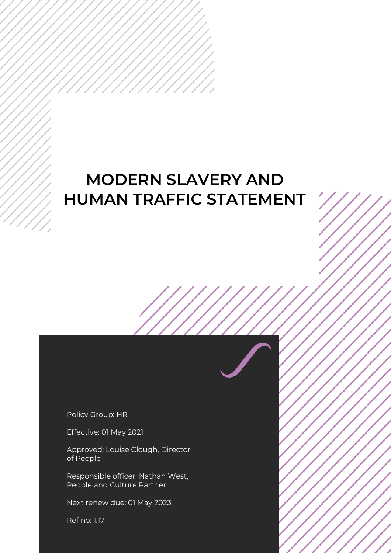## **MODERN SLAVERY AND HUMAN TRAFFIC STATEMENT**

Policy Group: HR

Effective: 01 May 2021

Approved: Louise Clough, Director of People

Responsible officer: Nathan West, People and Culture Partner

Next renew due: 01 May 2023

Ref no: 1.17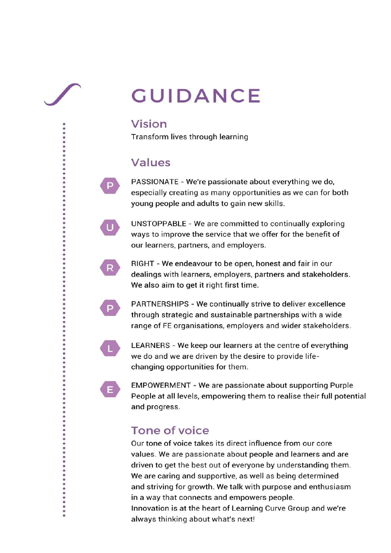# **GUIDANCE**

## Vision

Transform lives through learning

## **Values**

PASSIONATE - We're passionate about everything we do, especially creating as many opportunities as we can for both young people and adults to gain new skills.

UNSTOPPABLE - We are committed to continually exploring ways to improve the service that we offer for the benefit of our learners, partners, and employers.

RIGHT - We endeavour to be open, honest and fair in our dealings with learners, employers, partners and stakeholders. We also aim to get it right first time.



P.

 $\mathbf{U}$ 

R

PARTNERSHIPS - We continually strive to deliver excellence through strategic and sustainable partnerships with a wide range of FE organisations, employers and wider stakeholders.



E.

....

.....

LEARNERS - We keep our learners at the centre of everything we do and we are driven by the desire to provide lifechanging opportunities for them.

**EMPOWERMENT - We are passionate about supporting Purple** People at all levels, empowering them to realise their full potential and progress.

## **Tone of voice**

Our tone of voice takes its direct influence from our core values. We are passionate about people and learners and are driven to get the best out of everyone by understanding them. We are caring and supportive, as well as being determined and striving for growth. We talk with purpose and enthusiasm in a way that connects and empowers people. Innovation is at the heart of Learning Curve Group and we're always thinking about what's next!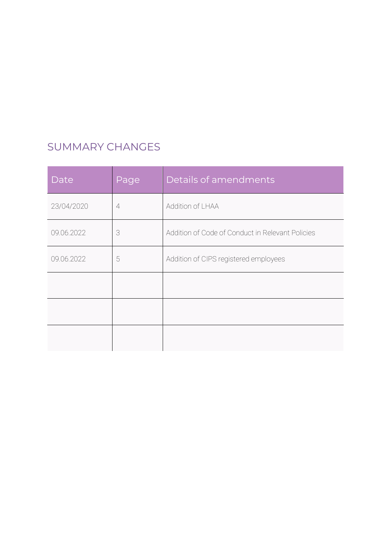## SUMMARY CHANGES

| Date       | Page           | Details of amendments                            |
|------------|----------------|--------------------------------------------------|
| 23/04/2020 | $\overline{4}$ | Addition of LHAA                                 |
| 09.06.2022 | 3              | Addition of Code of Conduct in Relevant Policies |
| 09.06.2022 | 5              | Addition of CIPS registered employees            |
|            |                |                                                  |
|            |                |                                                  |
|            |                |                                                  |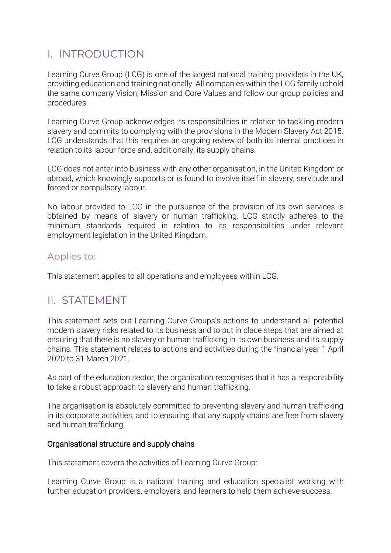## I. INTRODUCTION

Learning Curve Group (LCG) is one of the largest national training providers in the UK, providing education and training nationally. All companies within the LCG family uphold the same company Vision, Mission and Core Values and follow our group policies and procedures.

Learning Curve Group acknowledges its responsibilities in relation to tackling modern slavery and commits to complying with the provisions in the Modern Slavery Act 2015. LCG understands that this requires an ongoing review of both its internal practices in relation to its labour force and, additionally, its supply chains.

LCG does not enter into business with any other organisation, in the United Kingdom or abroad, which knowingly supports or is found to involve itself in slavery, servitude and forced or compulsory labour.

No labour provided to LCG in the pursuance of the provision of its own services is obtained by means of slavery or human trafficking. LCG strictly adheres to the minimum standards required in relation to its responsibilities under relevant employment legislation in the United Kingdom.

#### Applies to:

This statement applies to all operations and employees within LCG.

## II. STATEMENT

This statement sets out Learning Curve Groups's actions to understand all potential modern slavery risks related to its business and to put in place steps that are aimed at ensuring that there is no slavery or human trafficking in its own business and its supply chains. This statement relates to actions and activities during the financial year 1 April 2020 to 31 March 2021.

As part of the education sector, the organisation recognises that it has a responsibility to take a robust approach to slavery and human trafficking.

The organisation is absolutely committed to preventing slavery and human trafficking in its corporate activities, and to ensuring that any supply chains are free from slavery and human trafficking.

#### Organisational structure and supply chains

This statement covers the activities of Learning Curve Group:

Learning Curve Group is a national training and education specialist working with further education providers, employers, and learners to help them achieve success.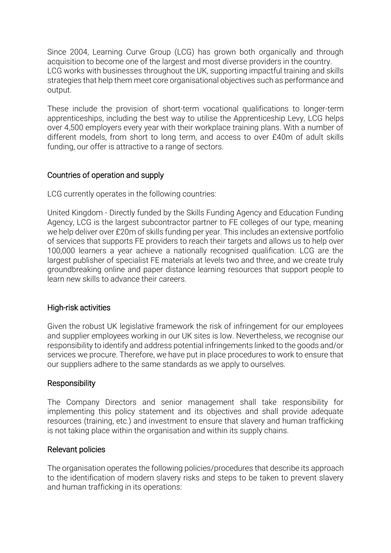Since 2004, Learning Curve Group (LCG) has grown both organically and through acquisition to become one of the largest and most diverse providers in the country. LCG works with businesses throughout the UK, supporting impactful training and skills strategies that help them meet core organisational objectives such as performance and output.

These include the provision of short-term vocational qualifications to longer-term apprenticeships, including the best way to utilise the Apprenticeship Levy, LCG helps over 4,500 employers every year with their workplace training plans. With a number of different models, from short to long term, and access to over £40m of adult skills funding, our offer is attractive to a range of sectors.

#### Countries of operation and supply

LCG currently operates in the following countries:

United Kingdom - Directly funded by the Skills Funding Agency and Education Funding Agency, LCG is the largest subcontractor partner to FE colleges of our type, meaning we help deliver over £20m of skills funding per year. This includes an extensive portfolio of services that supports FE providers to reach their targets and allows us to help over 100,000 learners a year achieve a nationally recognised qualification. LCG are the largest publisher of specialist FE materials at levels two and three, and we create truly groundbreaking online and paper distance learning resources that support people to learn new skills to advance their careers.

#### High-risk activities

Given the robust UK legislative framework the risk of infringement for our employees and supplier employees working in our UK sites is low. Nevertheless, we recognise our responsibility to identify and address potential infringements linked to the goods and/or services we procure. Therefore, we have put in place procedures to work to ensure that our suppliers adhere to the same standards as we apply to ourselves.

#### **Responsibility**

The Company Directors and senior management shall take responsibility for implementing this policy statement and its objectives and shall provide adequate resources (training, etc.) and investment to ensure that slavery and human trafficking is not taking place within the organisation and within its supply chains.

#### Relevant policies

The organisation operates the following policies/procedures that describe its approach to the identification of modern slavery risks and steps to be taken to prevent slavery and human trafficking in its operations: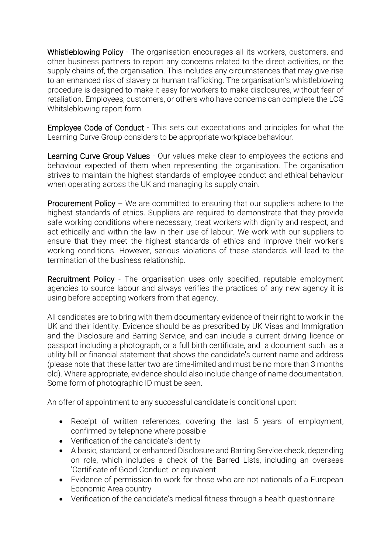Whistleblowing Policy - The organisation encourages all its workers, customers, and other business partners to report any concerns related to the direct activities, or the supply chains of, the organisation. This includes any circumstances that may give rise to an enhanced risk of slavery or human trafficking. The organisation's whistleblowing procedure is designed to make it easy for workers to make disclosures, without fear of retaliation. Employees, customers, or others who have concerns can complete the LCG Whitsleblowing report form.

Employee Code of Conduct - This sets out expectations and principles for what the Learning Curve Group considers to be appropriate workplace behaviour.

Learning Curve Group Values - Our values make clear to employees the actions and behaviour expected of them when representing the organisation. The organisation strives to maintain the highest standards of employee conduct and ethical behaviour when operating across the UK and managing its supply chain.

Procurement Policy – We are committed to ensuring that our suppliers adhere to the highest standards of ethics. Suppliers are required to demonstrate that they provide safe working conditions where necessary, treat workers with dignity and respect, and act ethically and within the law in their use of labour. We work with our suppliers to ensure that they meet the highest standards of ethics and improve their worker's working conditions. However, serious violations of these standards will lead to the termination of the business relationship.

Recruitment Policy - The organisation uses only specified, reputable employment agencies to source labour and always verifies the practices of any new agency it is using before accepting workers from that agency.

All candidates are to bring with them documentary evidence of their right to work in the UK and their identity. Evidence should be as prescribed by UK Visas and Immigration and the Disclosure and Barring Service, and can include a current driving licence or passport including a photograph, or a full birth certificate, and a document such as a utility bill or financial statement that shows the candidate's current name and address (please note that these latter two are time-limited and must be no more than 3 months old). Where appropriate, evidence should also include change of name documentation. Some form of photographic ID must be seen.

An offer of appointment to any successful candidate is conditional upon:

- Receipt of written references, covering the last 5 years of employment, confirmed by telephone where possible
- Verification of the candidate's identity
- A basic, standard, or enhanced Disclosure and Barring Service check, depending on role, which includes a check of the Barred Lists, including an overseas 'Certificate of Good Conduct' or equivalent
- Evidence of permission to work for those who are not nationals of a European Economic Area country
- Verification of the candidate's medical fitness through a health questionnaire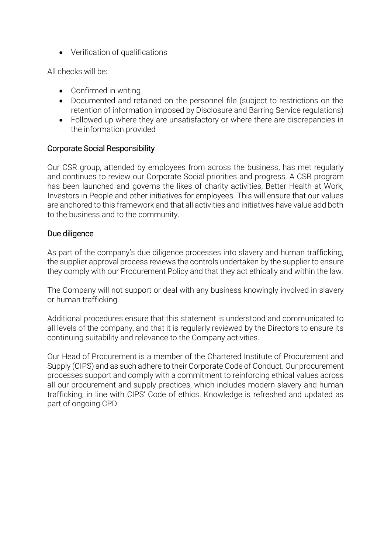• Verification of qualifications

All checks will be:

- Confirmed in writing
- Documented and retained on the personnel file (subject to restrictions on the retention of information imposed by Disclosure and Barring Service regulations)
- Followed up where they are unsatisfactory or where there are discrepancies in the information provided

#### Corporate Social Responsibility

Our CSR group, attended by employees from across the business, has met regularly and continues to review our Corporate Social priorities and progress. A CSR program has been launched and governs the likes of charity activities, Better Health at Work, Investors in People and other initiatives for employees. This will ensure that our values are anchored to this framework and that all activities and initiatives have value add both to the business and to the community.

#### Due diligence

As part of the company's due diligence processes into slavery and human trafficking, the supplier approval process reviews the controls undertaken by the supplier to ensure they comply with our Procurement Policy and that they act ethically and within the law.

The Company will not support or deal with any business knowingly involved in slavery or human trafficking.

Additional procedures ensure that this statement is understood and communicated to all levels of the company, and that it is regularly reviewed by the Directors to ensure its continuing suitability and relevance to the Company activities.

Our Head of Procurement is a member of the Chartered Institute of Procurement and Supply (CIPS) and as such adhere to their Corporate Code of Conduct. Our procurement processes support and comply with a commitment to reinforcing ethical values across all our procurement and supply practices, which includes modern slavery and human trafficking, in line with CIPS' Code of ethics. Knowledge is refreshed and updated as part of ongoing CPD.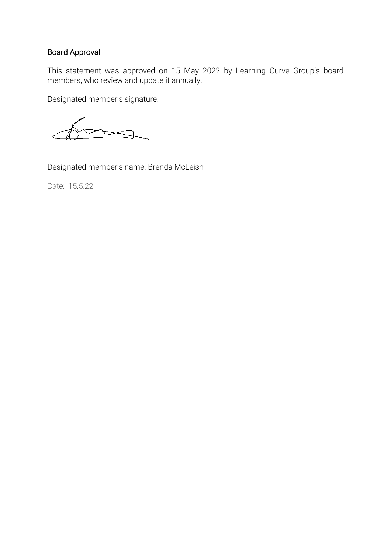#### Board Approval

This statement was approved on 15 May 2022 by Learning Curve Group's board members, who review and update it annually.

Designated member's signature:

Designated member's name: Brenda McLeish

Date: 15.5.22